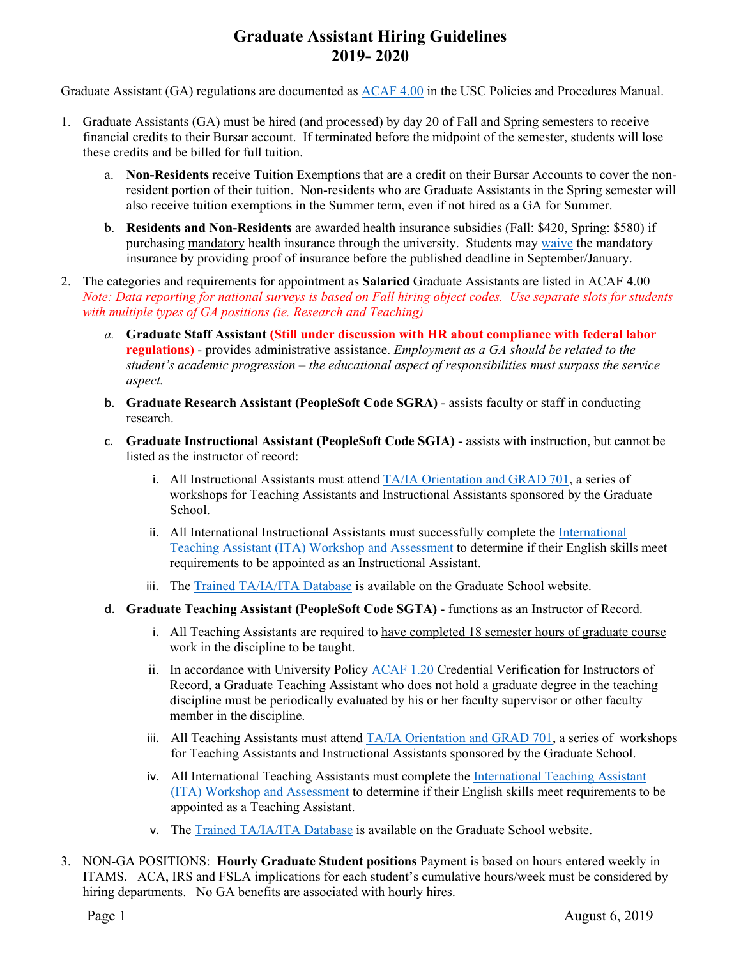## **Graduate Assistant Hiring Guidelines 2019- 2020**

Graduate Assistant (GA) regulations are documented as [ACAF 4.00](http://www.sc.edu/policies/ppm/acaf400.pdf) in the USC Policies and Procedures Manual.

- 1. Graduate Assistants (GA) must be hired (and processed) by day 20 of Fall and Spring semesters to receive financial credits to their Bursar account. If terminated before the midpoint of the semester, students will lose these credits and be billed for full tuition.
	- a. **Non-Residents** receive Tuition Exemptions that are a credit on their Bursar Accounts to cover the nonresident portion of their tuition. Non-residents who are Graduate Assistants in the Spring semester will also receive tuition exemptions in the Summer term, even if not hired as a GA for Summer.
	- b. **Residents and Non-Residents** are awarded health insurance subsidies (Fall: \$420, Spring: \$580) if purchasing mandatory health insurance through the university. Students may [waive](https://www.sa.sc.edu/shs/billing/insurance/) the mandatory insurance by providing proof of insurance before the published deadline in September/January.
- 2. The categories and requirements for appointment as **Salaried** Graduate Assistants are listed in ACAF 4.00 *Note: Data reporting for national surveys is based on Fall hiring object codes. Use separate slots for students with multiple types of GA positions (ie. Research and Teaching)*
	- *a.* **Graduate Staff Assistant (Still under discussion with HR about compliance with federal labor regulations)** - provides administrative assistance. *Employment as a GA should be related to the student's academic progression – the educational aspect of responsibilities must surpass the service aspect.*
	- b. **Graduate Research Assistant (PeopleSoft Code SGRA)** assists faculty or staff in conducting research.
	- c. **Graduate Instructional Assistant (PeopleSoft Code SGIA)** assists with instruction, but cannot be listed as the instructor of record:
		- i. All Instructional Assistants must attend  $TA/IA$  Orientation and GRAD 701, a series of workshops for Teaching Assistants and Instructional Assistants sponsored by the Graduate School.
		- ii. All [International](http://www.epi.sc.edu/ita-workshop-and-assessment) Instructional Assistants must successfully complete the International [Teaching Assistant \(ITA\) Workshop and Assessment](http://www.epi.sc.edu/ita-workshop-and-assessment) to determine if their English skills meet requirements to be appointed as an Instructional Assistant.
		- iii. The [Trained TA/IA/ITA Database](http://gradschool.sc.edu/facstaff/trained.asp?page=ta&ita-results=&ta-results=) is available on the Graduate School website.
	- d. **Graduate Teaching Assistant (PeopleSoft Code SGTA)** functions as an Instructor of Record.
		- i. All Teaching Assistants are required to have completed 18 semester hours of graduate course work in the discipline to be taught.
		- ii. In accordance with University Policy [ACAF 1.20](http://www.sc.edu/policies/ppm/acaf120.pdf) Credential Verification for Instructors of Record, a Graduate Teaching Assistant who does not hold a graduate degree in the teaching discipline must be periodically evaluated by his or her faculty supervisor or other faculty member in the discipline.
		- iii. All Teaching Assistants must attend  $TA/IA$  Orientation and GRAD 701, a series of workshops for Teaching Assistants and Instructional Assistants sponsored by the Graduate School.
		- iv. All International Teaching Assistants must complete the International Teaching Assistant [\(ITA\) Workshop and Assessment](http://www.epi.sc.edu/ita-workshop-and-assessment) to determine if their English skills meet requirements to be appointed as a Teaching Assistant.
		- v. The [Trained TA/IA/ITA Database](http://gradschool.sc.edu/facstaff/trained.asp?page=ta&ita-results=&ta-results=) is available on the Graduate School website.
- 3. NON-GA POSITIONS: **Hourly Graduate Student positions** Payment is based on hours entered weekly in ITAMS. ACA, IRS and FSLA implications for each student's cumulative hours/week must be considered by hiring departments. No GA benefits are associated with hourly hires.